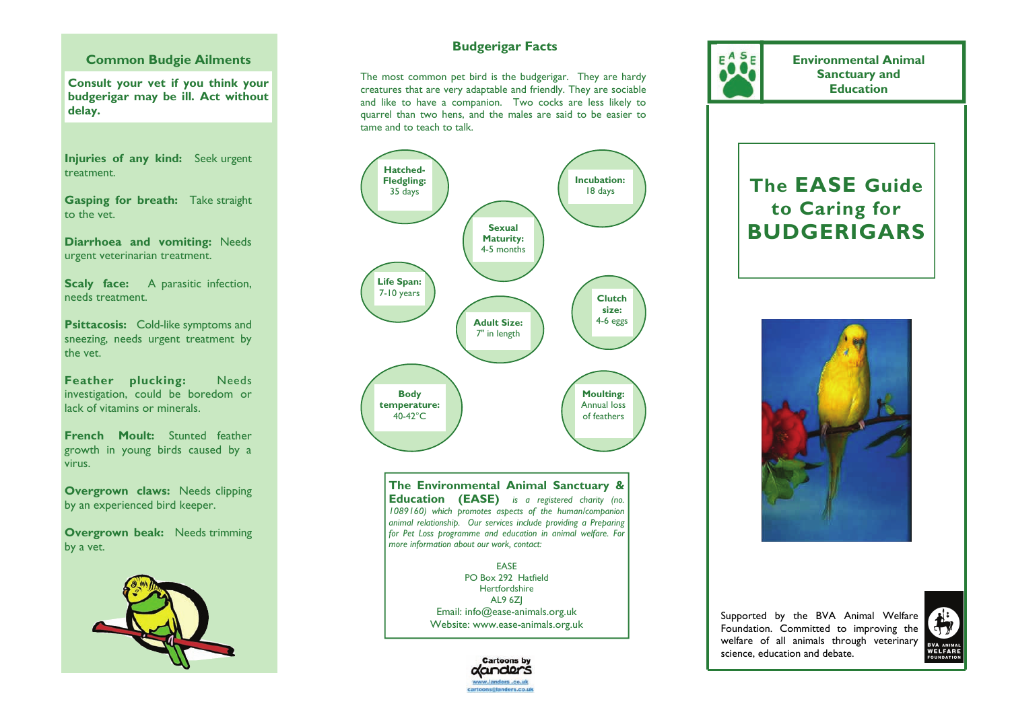#### **Common Budgie Ailments**

**Consult your vet if you think your budgerigar may be ill. Act without delay.** 

**Injuries of any kind:** Seek urgent treatment.

**Gasping for breath:** Take straight to the vet.

**Diarrhoea and vomiting:** Needs urgent veterinarian treatment.

**Scaly face:** A parasitic infection, needs treatment.

**Psittacosis:** Cold-like symptoms and sneezing, needs urgent treatment by the vet.

**Feather plucking:** Needs investigation, could be boredom or lack of vitamins or minerals.

**French Moult:** Stunted feather growth in young birds caused by a virus.

**Overgrown claws:** Needs clipping by an experienced bird keeper.

**Overgrown beak:** Needs trimming by a vet.



# **Budgerigar Facts**

The most common pet bird is the budgerigar. They are hardy creatures that are very adaptable and friendly. They are sociable and like to have a companion. Two cocks are less likely to quarrel than two hens, and the males are said to be easier to tame and to teach to talk.



**The Environmental Animal Sanctuary & Education (EASE)** *is a registered charity (no. 1089160) which promotes aspects of the human/companion animal relationship. Our services include providing a Preparing for Pet Loss programme and education in animal welfare. For more information about our work, contact:* 

> EASE PO Box 292 Harfield Hertfordshire AL9 6ZJ Email: info@ease-animals.org.uk Website: www.ease-animals.org.uk



**Environmental Animal Sanctuary and Education** 

# **The EASE Guide to Caring for BUDGERIGARS**



Supported by the BVA Animal Welfare Foundation. Committed to improving the welfare of all animals through veterinary science, education and debate.